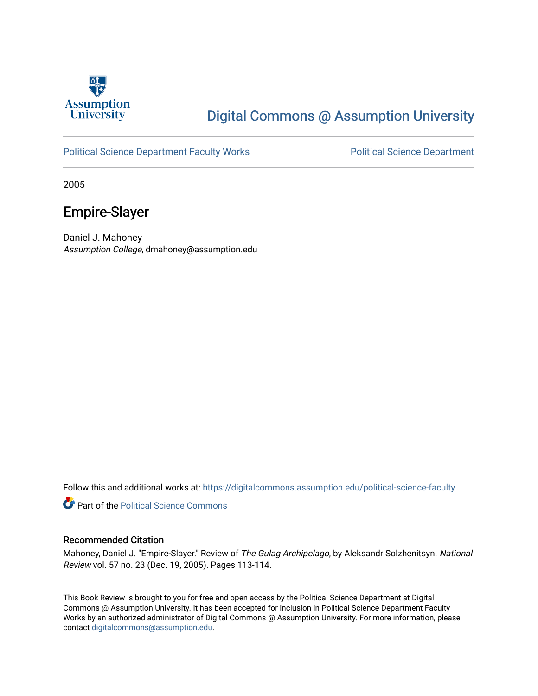

# [Digital Commons @ Assumption University](https://digitalcommons.assumption.edu/)

### [Political Science Department Faculty Works](https://digitalcommons.assumption.edu/political-science-faculty) **Political Science Department**

2005

## Empire-Slayer

Daniel J. Mahoney Assumption College, dmahoney@assumption.edu

Follow this and additional works at: [https://digitalcommons.assumption.edu/political-science-faculty](https://digitalcommons.assumption.edu/political-science-faculty?utm_source=digitalcommons.assumption.edu%2Fpolitical-science-faculty%2F7&utm_medium=PDF&utm_campaign=PDFCoverPages)

**Part of the Political Science Commons** 

### Recommended Citation

Mahoney, Daniel J. "Empire-Slayer." Review of The Gulag Archipelago, by Aleksandr Solzhenitsyn. National Review vol. 57 no. 23 (Dec. 19, 2005). Pages 113-114.

This Book Review is brought to you for free and open access by the Political Science Department at Digital Commons @ Assumption University. It has been accepted for inclusion in Political Science Department Faculty Works by an authorized administrator of Digital Commons @ Assumption University. For more information, please contact [digitalcommons@assumption.edu.](mailto:digitalcommons@assumption.edu)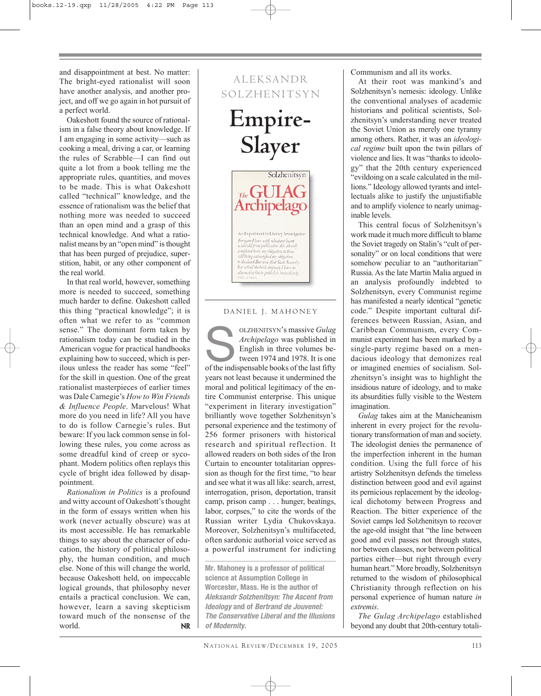and disappointment at best. No matter: The bright-eyed rationalist will soon have another analysis, and another project, and off we go again in hot pursuit of a perfect world.

Oakeshott found the source of rationalism in a false theory about knowledge. If I am engaging in some activity—such as cooking a meal, driving a car, or learning the rules of Scrabble—I can find out quite a lot from a book telling me the appropriate rules, quantities, and moves to be made. This is what Oakeshott called "technical" knowledge, and the essence of rationalism was the belief that nothing more was needed to succeed than an open mind and a grasp of this technical knowledge. And what a rationalist means by an "open mind" is thought that has been purged of prejudice, superstition, habit, or any other component of the real world.

In that real world, however, something more is needed to succeed, something much harder to define. Oakeshott called this thing "practical knowledge"; it is often what we refer to as "common sense." The dominant form taken by rationalism today can be studied in the American vogue for practical handbooks explaining how to succeed, which is perilous unless the reader has some "feel" for the skill in question. One of the great rationalist masterpieces of earlier times was Dale Carnegie's *How to Win Friends & Influence People*. Marvelous! What more do you need in life? All you have to do is follow Carnegie's rules. But beware: If you lack common sense in following these rules, you come across as some dreadful kind of creep or sycophant. Modern politics often replays this cycle of bright idea followed by disappointment.

*Rationalism in Politics* is a profound and witty account of Oakeshott's thought in the form of essays written when his work (never actually obscure) was at its most accessible. He has remarkable things to say about the character of education, the history of political philosophy, the human condition, and much else. None of this will change the world, because Oakeshott held, on impeccable logical grounds, that philosophy never entails a practical conclusion. We can, however, learn a saving skepticism toward much of the nonsense of the world. **NR** 

# ALEKSANDR SOLZHENITSYN

**Empire-Slayer**



### DANIEL J. MAHONEY

OLZHENITSYN's massive *Gulag*<br> *Archipelago* was published in<br>
English in three volumes be-<br>
tween 1974 and 1978. It is one<br>
of the indispensable books of the last fifty *Archipelago* was published in English in three volumes between 1974 and 1978. It is one years not least because it undermined the moral and political legitimacy of the entire Communist enterprise. This unique "experiment in literary investigation" brilliantly wove together Solzhenitsyn's personal experience and the testimony of 256 former prisoners with historical research and spiritual reflection. It allowed readers on both sides of the Iron Curtain to encounter totalitarian oppression as though for the first time, "to hear and see what it was all like: search, arrest, interrogation, prison, deportation, transit camp, prison camp . . . hunger, beatings, labor, corpses," to cite the words of the Russian writer Lydia Chukovskaya. Moreover, Solzhenitsyn's multifaceted, often sardonic authorial voice served as a powerful instrument for indicting

**Mr. Mahoney is a professor of political science at Assumption College in Worcester, Mass. He is the author of Aleksandr Solzhenitsyn: The Ascent from Ideology and of Bertrand de Jouvenel: The Conservative Liberal and the Illusions of Modernity.**

Communism and all its works.

At their root was mankind's and Solzhenitsyn's nemesis: ideology. Unlike the conventional analyses of academic historians and political scientists, Solzhenitsyn's understanding never treated the Soviet Union as merely one tyranny among others. Rather, it was an *ideological regime* built upon the twin pillars of violence and lies. It was "thanks to ideology" that the 20th century experienced "evildoing on a scale calculated in the millions." Ideology allowed tyrants and intellectuals alike to justify the unjustifiable and to amplify violence to nearly unimaginable levels.

This central focus of Solzhenitsyn's work made it much more difficult to blame the Soviet tragedy on Stalin's "cult of personality" or on local conditions that were somehow peculiar to an "authoritarian" Russia. As the late Martin Malia argued in an analysis profoundly indebted to Solzhenitsyn, every Communist regime has manifested a nearly identical "genetic code." Despite important cultural differences between Russian, Asian, and Caribbean Communism, every Communist experiment has been marked by a single-party regime based on a mendacious ideology that demonizes real or imagined enemies of socialism. Solzhenitsyn's insight was to highlight the insidious nature of ideology, and to make its absurdities fully visible to the Western imagination.

*Gulag* takes aim at the Manicheanism inherent in every project for the revolutionary transformation of man and society. The ideologist denies the permanence of the imperfection inherent in the human condition. Using the full force of his artistry Solzhenitsyn defends the timeless distinction between good and evil against its pernicious replacement by the ideological dichotomy between Progress and Reaction. The bitter experience of the Soviet camps led Solzhenitsyn to recover the age-old insight that "the line between good and evil passes not through states, nor between classes, nor between political parties either—but right through every human heart." More broadly, Solzhenitsyn returned to the wisdom of philosophical Christianity through reflection on his personal experience of human nature *in extremis*.

*The Gulag Archipelago* established beyond any doubt that 20th-century totali-